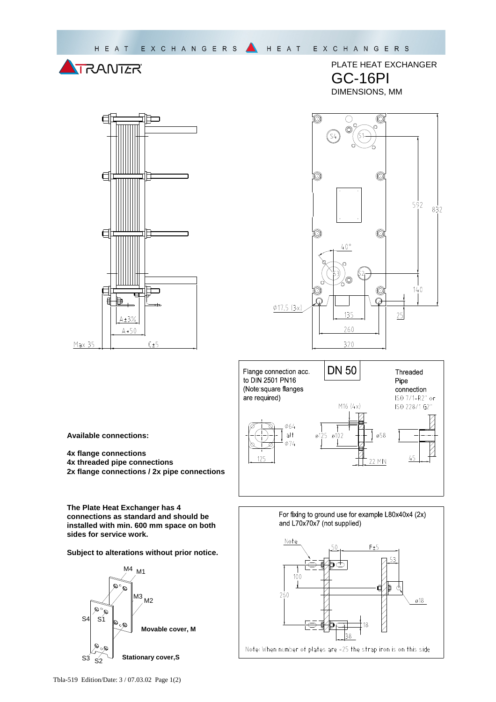



PLATE HEAT EXCHANGER GC-16PI DIMENSIONS, MM





**Available connections:** 

**4x flange connections 4x threaded pipe connections 2x flange connections / 2x pipe connections** 

**The Plate Heat Exchanger has 4 connections as standard and should be installed with min. 600 mm space on both sides for service work.** 

**Subject to alterations without prior notice.** 



For fixing to ground use for example L80x40x4 (2x) and L70x70x7 (not supplied)